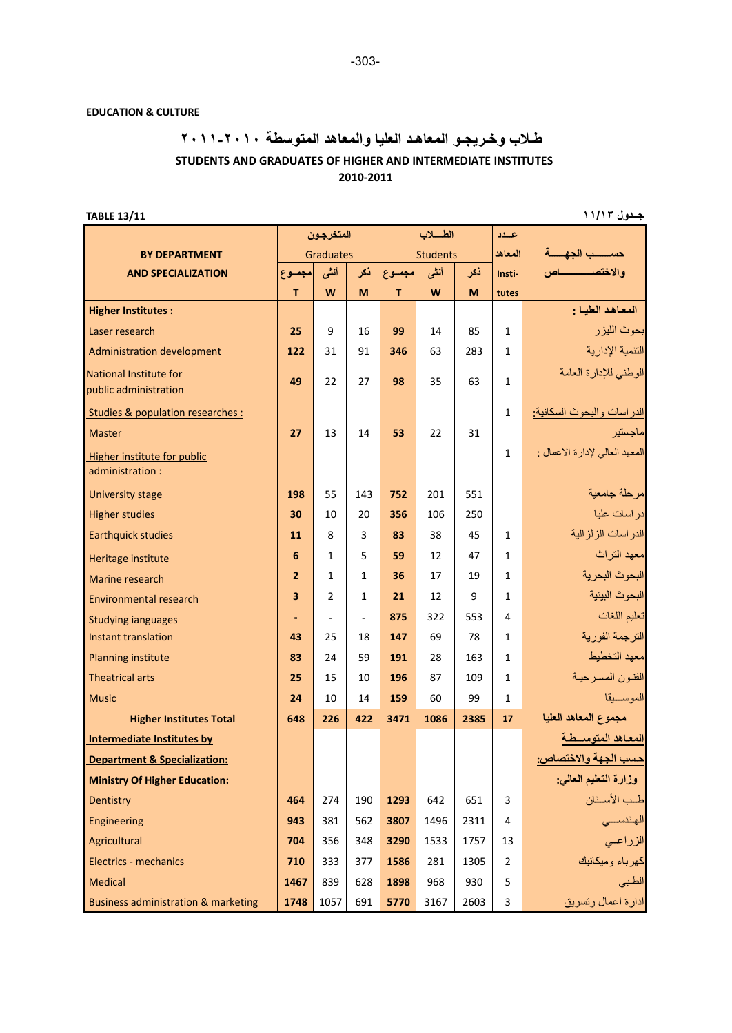## **EDUCATION & CULTURE**

## **طـلاب وخـريجـو المعاهـد العليا والمعاهد المتوسطة ٢٠١٠‐ ٢٠١١ 2010‐2011 STUDENTS AND GRADUATES OF HIGHER AND INTERMEDIATE INSTITUTES**

**جــدول ١١/١٣ 13/11TABLE**

|                                         | المتخرجون               |                |                | الطسلاب         |      |              | عسدد           |                                    |
|-----------------------------------------|-------------------------|----------------|----------------|-----------------|------|--------------|----------------|------------------------------------|
| <b>BY DEPARTMENT</b>                    | Graduates               |                |                | <b>Students</b> |      |              | المعاهد        | حسسب الجهســـة                     |
| <b>AND SPECIALIZATION</b>               | مجموع                   | أنشى           | نكر            | مجموع           | أنشى | ذكر          | Insti-         |                                    |
|                                         | T                       | W              | M              | T.              | W    | M            | tutes          |                                    |
| <b>Higher Institutes:</b>               |                         |                |                |                 |      |              |                | المعاهد العلبا :                   |
| Laser research                          | 25                      | $\mathsf{q}$   | 16             | 99              | 14   | 85           | $\mathbf{1}$   | بحوث الليز ر                       |
| <b>Administration development</b>       | 122                     | 31             | 91             | 346             | 63   | 283          | $\mathbf{1}$   | التنمية الإدارية                   |
| National Institute for                  | 49                      | 22             | 27             | 98              | 35   | 63           | $\mathbf{1}$   | الوطني للإدارة العامة              |
| public administration                   |                         |                |                |                 |      |              |                |                                    |
| Studies & population researches :       |                         |                |                |                 |      |              | $\mathbf{1}$   | <u>الدر اسات والبحوث السكانية:</u> |
| <b>Master</b>                           | 27                      | 13             | 14             | 53              | 22   | 31           |                | ماجستير                            |
| Higher institute for public             |                         |                |                |                 |      |              | $\mathbf{1}$   | المعهد العالي لإدارة الاعمال :     |
| administration :                        |                         |                |                |                 |      |              |                |                                    |
| <b>University stage</b>                 | 198                     | 55             | 143            | 752             | 201  | 551          |                | مرحلة جامعبة                       |
| <b>Higher studies</b>                   | 30                      | 10             | 20             | 356             | 106  | 250          |                | در اسات عليا                       |
| <b>Earthquick studies</b>               | 11                      | R              | 3              | 83              | 38   | 45           | 1              | الدر اسات الزلز الية               |
| Heritage institute                      | 6                       | $\mathbf{1}$   | 5              | 59              | 12   | 47           | $\mathbf{1}$   | معهد التراث                        |
| Marine research                         | $\overline{2}$          | $\mathbf{1}$   | $\mathbf{1}$   | 36              | 17   | 19           | $\mathbf{1}$   | البحوث البحرية                     |
| <b>Environmental research</b>           | $\overline{\mathbf{3}}$ | $\mathfrak{p}$ | $\mathbf{1}$   | 21              | 12   | $\mathsf{q}$ | $\mathbf{1}$   | البحوث البيئية                     |
| <b>Studying janguages</b>               | ٠                       | ÷,             | $\overline{a}$ | 875             | 322  | 553          | 4              | تعليم اللغات                       |
| Instant translation                     | 43                      | 25             | 18             | 147             | 69   | 78           | $\mathbf{1}$   | الترجمة الفورية                    |
| <b>Planning institute</b>               | 83                      | 24             | 59             | 191             | 28   | 163          | $\mathbf{1}$   | معهد التخطبط                       |
| <b>Theatrical arts</b>                  | 25                      | 15             | 10             | 196             | 87   | 109          | $\mathbf{1}$   | الفنون المسرحية                    |
| <b>Music</b>                            | 24                      | 10             | 14             | 159             | 60   | 99           | $\mathbf{1}$   | الموسسيقا                          |
| <b>Higher Institutes Total</b>          | 648                     | 226            | 422            | 3471            | 1086 | 2385         | 17             | مجموع المعاهد العليا               |
| Intermediate Institutes by              |                         |                |                |                 |      |              |                | المعاهد المتوسسطة                  |
| <b>Department &amp; Specialization:</b> |                         |                |                |                 |      |              |                | حسب الجهة والاختصاص:               |
| <b>Ministry Of Higher Education:</b>    |                         |                |                |                 |      |              |                | وزارة التعليم العالمي:             |
| Dentistry                               | 464                     | 274            | 190            | 1293            | 642  | 651          | 3              | طب الأسنان                         |
| Engineering                             | 943                     | 381            | 562            | 3807            | 1496 | 2311         | 4              | الهندســـى                         |
| Agricultural                            | 704                     | 356            | 348            | 3290            | 1533 | 1757         | 13             | الزراعى                            |
| Electrics - mechanics                   | 710                     | 333            | 377            | 1586            | 281  | 1305         | $\overline{2}$ | كهرباء وميكانيك                    |
| <b>Medical</b>                          | 1467                    | 839            | 628            | 1898            | 968  | 930          | 5              | الطبى                              |
| Business administration & marketing     | 1748                    | 1057           | 691            | 5770            | 3167 | 2603         | 3              | ادارة اعمال وتسويق                 |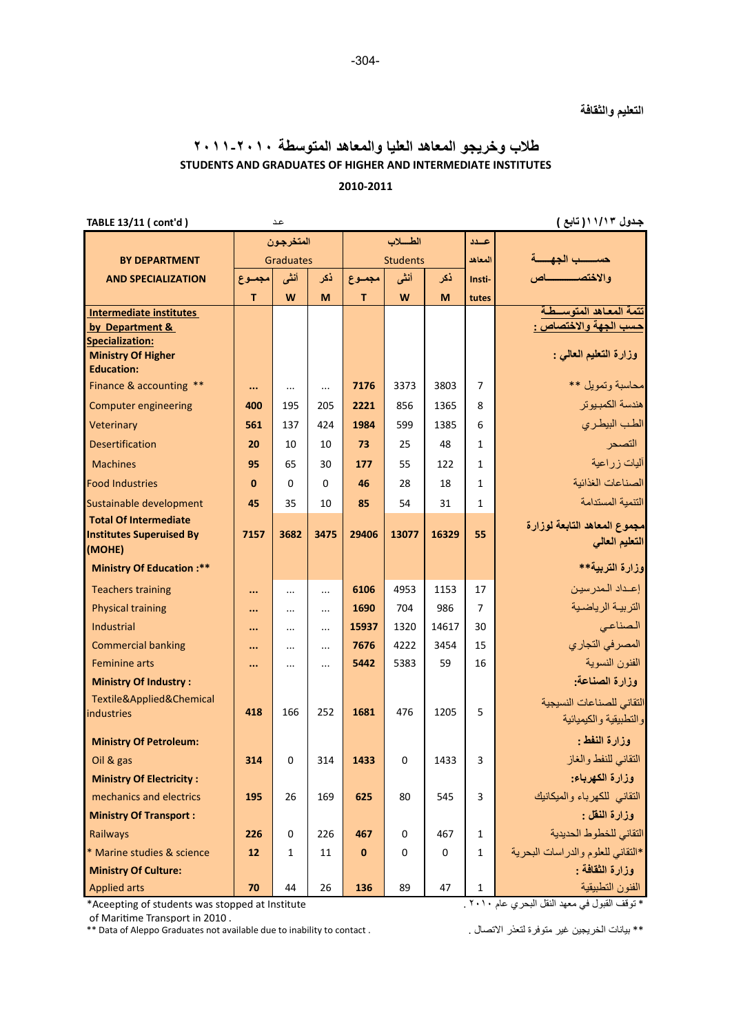## **طلاب وخريجو المعاهد العليا والمعاهد المتوسطة ٢٠١٠‐٢٠١١ STUDENTS AND GRADUATES OF HIGHER AND INTERMEDIATE INSTITUTES 2010‐2011**

| TABLE 13/11 ( cont'd )                                                    |              | عد               |          |          |                 |       |                | جدول ۱۱/۱۳( تابع )                                  |
|---------------------------------------------------------------------------|--------------|------------------|----------|----------|-----------------|-------|----------------|-----------------------------------------------------|
|                                                                           |              | المتخرجون        |          | الطلاب   |                 |       | عيدد           |                                                     |
| <b>BY DEPARTMENT</b>                                                      |              | <b>Graduates</b> |          |          | <b>Students</b> |       |                | حسسب الجهسة                                         |
| <b>AND SPECIALIZATION</b>                                                 | مجموع        | أنشى             | ذكر      | مجموع    | أنشى            | ذكر   | Insti-         |                                                     |
|                                                                           | T.           | W                | M        | T.       | W               | M     | tutes          |                                                     |
| <b>Intermediate institutes</b><br>by Department &                         |              |                  |          |          |                 |       |                | تتمة المعاهد المتوسسطة<br>حسب الجهة والاختصاص :     |
| <b>Specialization:</b><br><b>Ministry Of Higher</b><br><b>Education:</b>  |              |                  |          |          |                 |       |                | وزارة التعليم العالمي :                             |
| Finance & accounting **                                                   |              | $\ldots$         | $\cdots$ | 7176     | 3373            | 3803  | 7              | محاسبة وتمويل **                                    |
| <b>Computer engineering</b>                                               | 400          | 195              | 205      | 2221     | 856             | 1365  | 8              | هندسة الكمبيو تر                                    |
| Veterinary                                                                | 561          | 137              | 424      | 1984     | 599             | 1385  | 6              | الطب البيطرى                                        |
| <b>Desertification</b>                                                    | 20           | 10               | 10       | 73       | 25              | 48    | 1              | التصحر                                              |
| <b>Machines</b>                                                           | 95           | 65               | 30       | 177      | 55              | 122   | $\mathbf{1}$   | آليات زراعية                                        |
| <b>Food Industries</b>                                                    | $\mathbf{0}$ | $\Omega$         | $\Omega$ | 46       | 28              | 18    | $\mathbf{1}$   | الصناعات الغذائبة                                   |
| Sustainable development                                                   | 45           | 35               | 10       | 85       | 54              | 31    | $\mathbf{1}$   | التنمبة المستدامة                                   |
| <b>Total Of Intermediate</b><br><b>Institutes Superuised By</b><br>(MOHE) | 7157         | 3682             | 3475     | 29406    | 13077           | 16329 | 55             | مجموع المعاهد التابعة لوزارة<br>التعليم العالى      |
| <b>Ministry Of Education:**</b>                                           |              |                  |          |          |                 |       |                | وزارة التربية**                                     |
| <b>Teachers training</b>                                                  |              | $\cdots$         |          | 6106     | 4953            | 1153  | 17             | إعداد المدرسين                                      |
| <b>Physical training</b>                                                  |              | $\cdots$         | $\cdots$ | 1690     | 704             | 986   | $\overline{7}$ | التربية الرياضية                                    |
| <b>Industrial</b>                                                         |              | $\cdots$         | $\cdots$ | 15937    | 1320            | 14617 | 30             | الصناعى                                             |
| <b>Commercial banking</b>                                                 |              | $\cdots$         | $\cdots$ | 7676     | 4222            | 3454  | 15             | المصرفي التجاري                                     |
| <b>Feminine arts</b>                                                      |              |                  |          | 5442     | 5383            | 59    | 16             | الفنون النسوية                                      |
| <b>Ministry Of Industry:</b>                                              |              |                  |          |          |                 |       |                | وزارة الصناعة:                                      |
| Textile&Applied&Chemical<br><b>industries</b>                             | 418          | 166              | 252      | 1681     | 476             | 1205  | 5              | التقانى للصناعات النسيجية<br>والتطبيقية والكيميائية |
| <b>Ministry Of Petroleum:</b>                                             |              |                  |          |          |                 |       |                | وزارة النفط :                                       |
| Oil & gas                                                                 | 314          | $\Omega$         | 314      | 1433     | 0               | 1433  | 3              | التقاني للنفط والغاز                                |
| <b>Ministry Of Electricity:</b>                                           |              |                  |          |          |                 |       |                | وزارة الكهرباء:                                     |
| mechanics and electrics                                                   | 195          | 26               | 169      | 625      | 80              | 545   | 3              | التقانى للكهرباء والميكانيك                         |
| <b>Ministry Of Transport:</b>                                             |              |                  |          |          |                 |       |                | وزارة النقل :                                       |
| Railways                                                                  | 226          | $\Omega$         | 226      | 467      | $\Omega$        | 467   | $\mathbf{1}$   | التقاني للخطوط الحديدية                             |
| * Marine studies & science                                                | 12           | $\mathbf{1}$     | 11       | $\bf{0}$ | $\Omega$        | 0     | $\mathbf{1}$   | *التقاني للعلوم والدراسات البحرية                   |
| <b>Ministry Of Culture:</b>                                               |              |                  |          |          |                 |       |                | وزارة النفافة :                                     |
| <b>Applied arts</b>                                                       | 70           | 44               | 26       | 136      | 89              | 47    | 1              | الفنون التطبيقية                                    |

\*Aceepting of students was stopped at Institute

of Maritime Transport in 2010 .<br>\*\* Data of Aleppo Graduates not available due to inability to contact .

\* توقف القبول في معهد النقل البحري عام . ٢٠١٠

\*\* بيانات الخريجين غير متوفرة لتعذر الاتصال .

-304-